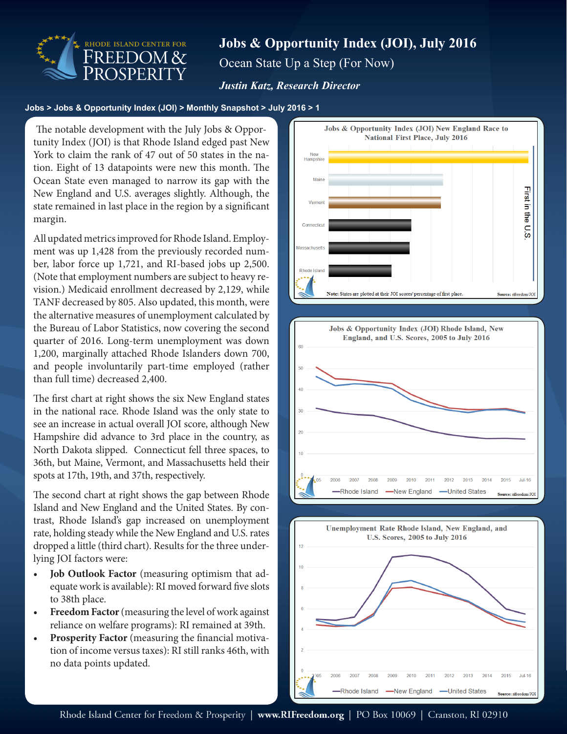

# **Jobs & Opportunity Index (JOI), July 2016** Ocean State Up a Step (For Now)

### *Justin Katz, Research Director*

#### **Jobs > Jobs & Opportunity Index (JOI) > Monthly Snapshot > July 2016 > 1**

 tunity Index (JOI) is that Rhode Island edged past New The notable development with the July Jobs & Oppor-York to claim the rank of 47 out of 50 states in the nation. Eight of 13 datapoints were new this month. The Ocean State even managed to narrow its gap with the New England and U.S. averages slightly. Although, the state remained in last place in the region by a significant margin.

All updated metrics improved for Rhode Island. Employment was up 1,428 from the previously recorded number, labor force up 1,721, and RI-based jobs up 2,500. (Note that employment numbers are subject to heavy revision.) Medicaid enrollment decreased by 2,129, while TANF decreased by 805. Also updated, this month, were the alternative measures of unemployment calculated by the Bureau of Labor Statistics, now covering the second quarter of 2016. Long-term unemployment was down 1,200, marginally attached Rhode Islanders down 700, and people involuntarily part-time employed (rather than full time) decreased 2,400.

The first chart at right shows the six New England states in the national race. Rhode Island was the only state to see an increase in actual overall JOI score, although New Hampshire did advance to 3rd place in the country, as North Dakota slipped. Connecticut fell three spaces, to 36th, but Maine, Vermont, and Massachusetts held their spots at 17th, 19th, and 37th, respectively.

The second chart at right shows the gap between Rhode Island and New England and the United States. By contrast, Rhode Island's gap increased on unemployment rate, holding steady while the New England and U.S. rates dropped a little (third chart). Results for the three underlying JOI factors were:

- **• Job Outlook Factor** (measuring optimism that adequate work is available): RI moved forward five slots to 38th place.
- **• Freedom Factor** (measuring the level of work against reliance on welfare programs): RI remained at 39th.
- **• Prosperity Factor** (measuring the financial motivation of income versus taxes): RI still ranks 46th, with no data points updated.